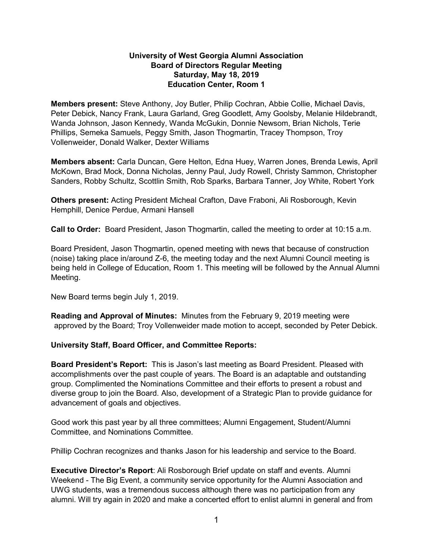# **University of West Georgia Alumni Association Board of Directors Regular Meeting Saturday, May 18, 2019 Education Center, Room 1**

**Members present:** Steve Anthony, Joy Butler, Philip Cochran, Abbie Collie, Michael Davis, Peter Debick, Nancy Frank, Laura Garland, Greg Goodlett, Amy Goolsby, Melanie Hildebrandt, Wanda Johnson, Jason Kennedy, Wanda McGukin, Donnie Newsom, Brian Nichols, Terie Phillips, Semeka Samuels, Peggy Smith, Jason Thogmartin, Tracey Thompson, Troy Vollenweider, Donald Walker, Dexter Williams

**Members absent:** Carla Duncan, Gere Helton, Edna Huey, Warren Jones, Brenda Lewis, April McKown, Brad Mock, Donna Nicholas, Jenny Paul, Judy Rowell, Christy Sammon, Christopher Sanders, Robby Schultz, Scottlin Smith, Rob Sparks, Barbara Tanner, Joy White, Robert York

**Others present:** Acting President Micheal Crafton, Dave Fraboni, Ali Rosborough, Kevin Hemphill, Denice Perdue, Armani Hansell

**Call to Order:** Board President, Jason Thogmartin, called the meeting to order at 10:15 a.m.

Board President, Jason Thogmartin, opened meeting with news that because of construction (noise) taking place in/around Z-6, the meeting today and the next Alumni Council meeting is being held in College of Education, Room 1. This meeting will be followed by the Annual Alumni Meeting.

New Board terms begin July 1, 2019.

**Reading and Approval of Minutes:** Minutes from the February 9, 2019 meeting were approved by the Board; Troy Vollenweider made motion to accept, seconded by Peter Debick.

# **University Staff, Board Officer, and Committee Reports:**

**Board President's Report:** This is Jason's last meeting as Board President. Pleased with accomplishments over the past couple of years. The Board is an adaptable and outstanding group. Complimented the Nominations Committee and their efforts to present a robust and diverse group to join the Board. Also, development of a Strategic Plan to provide guidance for advancement of goals and objectives.

Good work this past year by all three committees; Alumni Engagement, Student/Alumni Committee, and Nominations Committee.

Phillip Cochran recognizes and thanks Jason for his leadership and service to the Board.

**Executive Director's Report**: Ali Rosborough Brief update on staff and events. Alumni Weekend - The Big Event, a community service opportunity for the Alumni Association and UWG students, was a tremendous success although there was no participation from any alumni. Will try again in 2020 and make a concerted effort to enlist alumni in general and from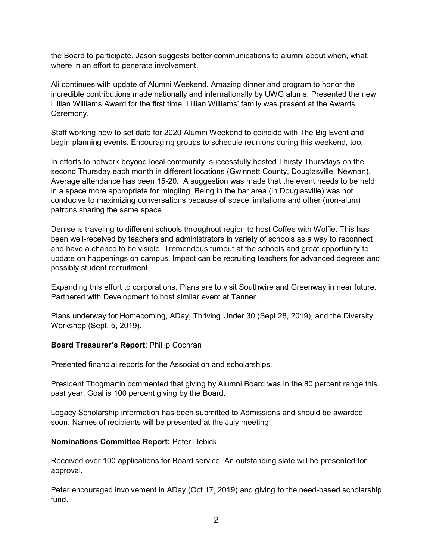the Board to participate. Jason suggests better communications to alumni about when, what, where in an effort to generate involvement.

Ali continues with update of Alumni Weekend. Amazing dinner and program to honor the incredible contributions made nationally and internationally by UWG alums. Presented the new Lillian Williams Award for the first time; Lillian Williams' family was present at the Awards Ceremony.

Staff working now to set date for 2020 Alumni Weekend to coincide with The Big Event and begin planning events. Encouraging groups to schedule reunions during this weekend, too.

In efforts to network beyond local community, successfully hosted Thirsty Thursdays on the second Thursday each month in different locations (Gwinnett County, Douglasville, Newnan). Average attendance has been 15-20. A suggestion was made that the event needs to be held in a space more appropriate for mingling. Being in the bar area (in Douglasville) was not conducive to maximizing conversations because of space limitations and other (non-alum) patrons sharing the same space.

Denise is traveling to different schools throughout region to host Coffee with Wolfie. This has been well-received by teachers and administrators in variety of schools as a way to reconnect and have a chance to be visible. Tremendous turnout at the schools and great opportunity to update on happenings on campus. Impact can be recruiting teachers for advanced degrees and possibly student recruitment.

Expanding this effort to corporations. Plans are to visit Southwire and Greenway in near future. Partnered with Development to host similar event at Tanner.

Plans underway for Homecoming, ADay, Thriving Under 30 (Sept 28, 2019), and the Diversity Workshop (Sept. 5, 2019).

#### **Board Treasurer's Report**: Phillip Cochran

Presented financial reports for the Association and scholarships.

President Thogmartin commented that giving by Alumni Board was in the 80 percent range this past year. Goal is 100 percent giving by the Board.

Legacy Scholarship information has been submitted to Admissions and should be awarded soon. Names of recipients will be presented at the July meeting.

#### **Nominations Committee Report:** Peter Debick

Received over 100 applications for Board service. An outstanding slate will be presented for approval.

Peter encouraged involvement in ADay (Oct 17, 2019) and giving to the need-based scholarship fund.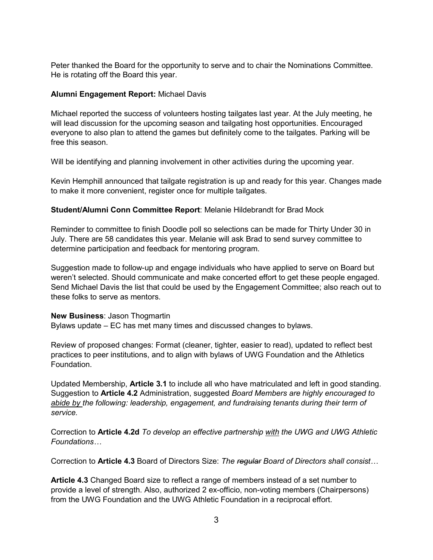Peter thanked the Board for the opportunity to serve and to chair the Nominations Committee. He is rotating off the Board this year.

## **Alumni Engagement Report:** Michael Davis

Michael reported the success of volunteers hosting tailgates last year. At the July meeting, he will lead discussion for the upcoming season and tailgating host opportunities. Encouraged everyone to also plan to attend the games but definitely come to the tailgates. Parking will be free this season.

Will be identifying and planning involvement in other activities during the upcoming year.

Kevin Hemphill announced that tailgate registration is up and ready for this year. Changes made to make it more convenient, register once for multiple tailgates.

## **Student/Alumni Conn Committee Report**: Melanie Hildebrandt for Brad Mock

Reminder to committee to finish Doodle poll so selections can be made for Thirty Under 30 in July. There are 58 candidates this year. Melanie will ask Brad to send survey committee to determine participation and feedback for mentoring program.

Suggestion made to follow-up and engage individuals who have applied to serve on Board but weren't selected. Should communicate and make concerted effort to get these people engaged. Send Michael Davis the list that could be used by the Engagement Committee; also reach out to these folks to serve as mentors.

#### **New Business**: Jason Thogmartin

Bylaws update – EC has met many times and discussed changes to bylaws.

Review of proposed changes: Format (cleaner, tighter, easier to read), updated to reflect best practices to peer institutions, and to align with bylaws of UWG Foundation and the Athletics Foundation.

Updated Membership, **Article 3.1** to include all who have matriculated and left in good standing. Suggestion to **Article 4.2** Administration, suggested *Board Members are highly encouraged to abide by the following: leadership, engagement, and fundraising tenants during their term of service.*

Correction to **Article 4.2d** *To develop an effective partnership with the UWG and UWG Athletic Foundations…*

Correction to **Article 4.3** Board of Directors Size: *The regular Board of Directors shall consist…*

**Article 4.3** Changed Board size to reflect a range of members instead of a set number to provide a level of strength. Also, authorized 2 ex-officio, non-voting members (Chairpersons) from the UWG Foundation and the UWG Athletic Foundation in a reciprocal effort.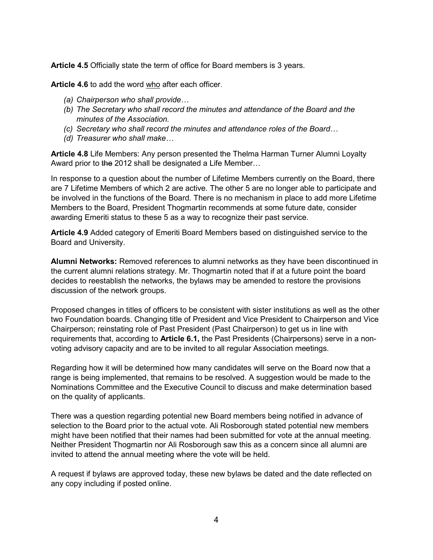**Article 4.5** Officially state the term of office for Board members is 3 years.

Article 4.6 to add the word who after each officer.

- *(a) Chairperson who shall provide…*
- *(b) The Secretary who shall record the minutes and attendance of the Board and the minutes of the Association.*
- *(c) Secretary who shall record the minutes and attendance roles of the Board…*
- *(d) Treasurer who shall make…*

**Article 4.8** Life Members: Any person presented the Thelma Harman Turner Alumni Loyalty Award prior to the 2012 shall be designated a Life Member...

In response to a question about the number of Lifetime Members currently on the Board, there are 7 Lifetime Members of which 2 are active. The other 5 are no longer able to participate and be involved in the functions of the Board. There is no mechanism in place to add more Lifetime Members to the Board, President Thogmartin recommends at some future date, consider awarding Emeriti status to these 5 as a way to recognize their past service.

**Article 4.9** Added category of Emeriti Board Members based on distinguished service to the Board and University.

**Alumni Networks:** Removed references to alumni networks as they have been discontinued in the current alumni relations strategy. Mr. Thogmartin noted that if at a future point the board decides to reestablish the networks, the bylaws may be amended to restore the provisions discussion of the network groups.

Proposed changes in titles of officers to be consistent with sister institutions as well as the other two Foundation boards. Changing title of President and Vice President to Chairperson and Vice Chairperson; reinstating role of Past President (Past Chairperson) to get us in line with requirements that, according to **Article 6.1,** the Past Presidents (Chairpersons) serve in a nonvoting advisory capacity and are to be invited to all regular Association meetings.

Regarding how it will be determined how many candidates will serve on the Board now that a range is being implemented, that remains to be resolved. A suggestion would be made to the Nominations Committee and the Executive Council to discuss and make determination based on the quality of applicants.

There was a question regarding potential new Board members being notified in advance of selection to the Board prior to the actual vote. Ali Rosborough stated potential new members might have been notified that their names had been submitted for vote at the annual meeting. Neither President Thogmartin nor Ali Rosborough saw this as a concern since all alumni are invited to attend the annual meeting where the vote will be held.

A request if bylaws are approved today, these new bylaws be dated and the date reflected on any copy including if posted online.